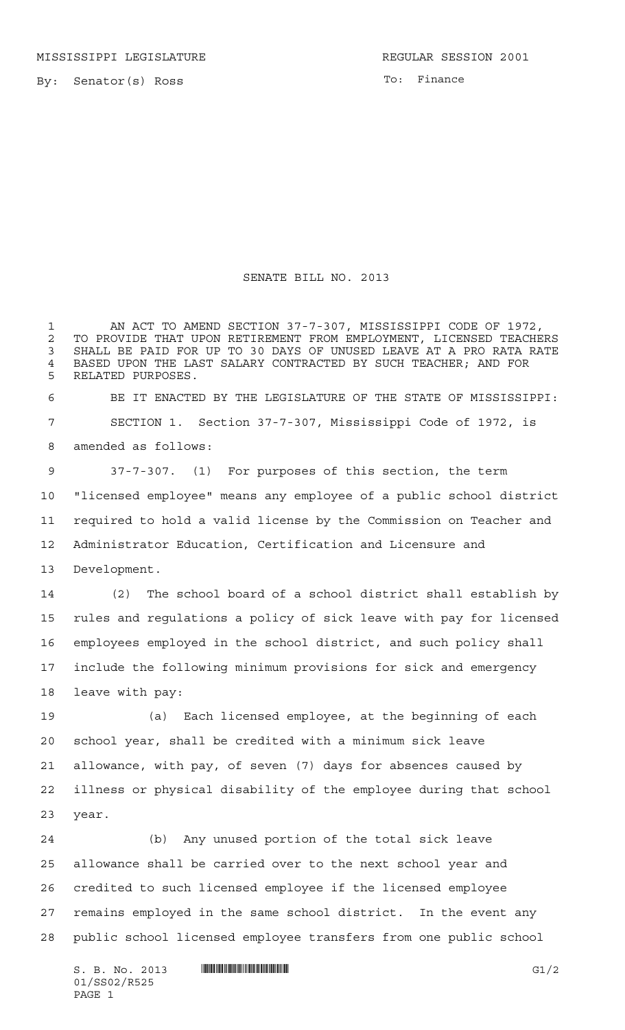By: Senator(s) Ross

To: Finance

## SENATE BILL NO. 2013

1 AN ACT TO AMEND SECTION 37-7-307, MISSISSIPPI CODE OF 1972, TO PROVIDE THAT UPON RETIREMENT FROM EMPLOYMENT, LICENSED TEACHERS SHALL BE PAID FOR UP TO 30 DAYS OF UNUSED LEAVE AT A PRO RATA RATE 4 BASED UPON THE LAST SALARY CONTRACTED BY SUCH TEACHER; AND FOR RELATED PURPOSES RELATED PURPOSES.

 BE IT ENACTED BY THE LEGISLATURE OF THE STATE OF MISSISSIPPI: SECTION 1. Section 37-7-307, Mississippi Code of 1972, is amended as follows:

 37-7-307. (1) For purposes of this section, the term "licensed employee" means any employee of a public school district required to hold a valid license by the Commission on Teacher and Administrator Education, Certification and Licensure and Development.

 (2) The school board of a school district shall establish by rules and regulations a policy of sick leave with pay for licensed employees employed in the school district, and such policy shall include the following minimum provisions for sick and emergency leave with pay:

 (a) Each licensed employee, at the beginning of each school year, shall be credited with a minimum sick leave allowance, with pay, of seven (7) days for absences caused by illness or physical disability of the employee during that school year.

 (b) Any unused portion of the total sick leave allowance shall be carried over to the next school year and credited to such licensed employee if the licensed employee remains employed in the same school district. In the event any public school licensed employee transfers from one public school

 $S. B. No. 2013$  **...**  $\blacksquare$  **...**  $\blacksquare$  ... 01/SS02/R525 PAGE 1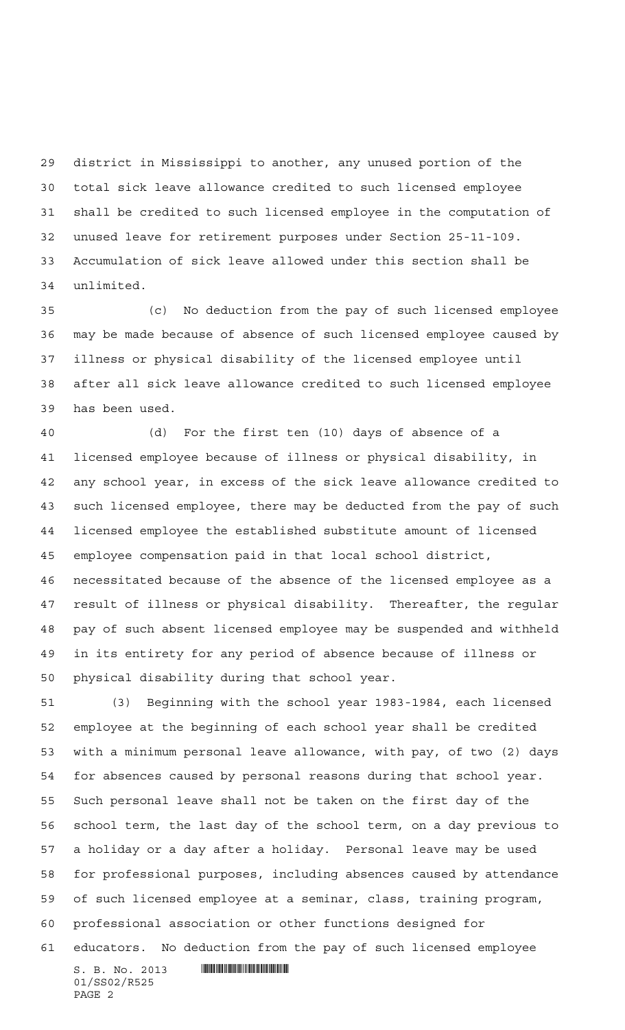district in Mississippi to another, any unused portion of the total sick leave allowance credited to such licensed employee shall be credited to such licensed employee in the computation of unused leave for retirement purposes under Section 25-11-109. Accumulation of sick leave allowed under this section shall be unlimited.

 (c) No deduction from the pay of such licensed employee may be made because of absence of such licensed employee caused by illness or physical disability of the licensed employee until after all sick leave allowance credited to such licensed employee has been used.

 (d) For the first ten (10) days of absence of a licensed employee because of illness or physical disability, in any school year, in excess of the sick leave allowance credited to such licensed employee, there may be deducted from the pay of such licensed employee the established substitute amount of licensed employee compensation paid in that local school district, necessitated because of the absence of the licensed employee as a result of illness or physical disability. Thereafter, the regular pay of such absent licensed employee may be suspended and withheld in its entirety for any period of absence because of illness or physical disability during that school year.

 (3) Beginning with the school year 1983-1984, each licensed employee at the beginning of each school year shall be credited with a minimum personal leave allowance, with pay, of two (2) days for absences caused by personal reasons during that school year. Such personal leave shall not be taken on the first day of the school term, the last day of the school term, on a day previous to a holiday or a day after a holiday. Personal leave may be used for professional purposes, including absences caused by attendance of such licensed employee at a seminar, class, training program, professional association or other functions designed for educators. No deduction from the pay of such licensed employee

 $S. B. No. 2013$  . Suppose the set of  $S. B. N_{O.25}$ 01/SS02/R525 PAGE 2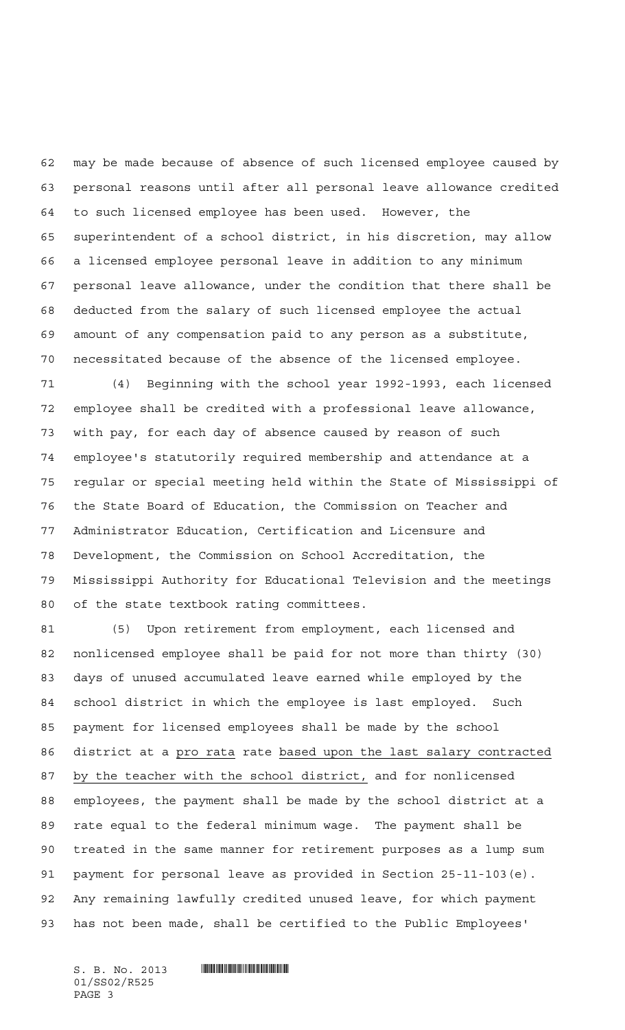may be made because of absence of such licensed employee caused by personal reasons until after all personal leave allowance credited to such licensed employee has been used. However, the superintendent of a school district, in his discretion, may allow a licensed employee personal leave in addition to any minimum personal leave allowance, under the condition that there shall be deducted from the salary of such licensed employee the actual amount of any compensation paid to any person as a substitute, necessitated because of the absence of the licensed employee.

 (4) Beginning with the school year 1992-1993, each licensed employee shall be credited with a professional leave allowance, with pay, for each day of absence caused by reason of such employee's statutorily required membership and attendance at a regular or special meeting held within the State of Mississippi of the State Board of Education, the Commission on Teacher and Administrator Education, Certification and Licensure and Development, the Commission on School Accreditation, the Mississippi Authority for Educational Television and the meetings of the state textbook rating committees.

 (5) Upon retirement from employment, each licensed and nonlicensed employee shall be paid for not more than thirty (30) days of unused accumulated leave earned while employed by the school district in which the employee is last employed. Such payment for licensed employees shall be made by the school 86 district at a pro rata rate based upon the last salary contracted by the teacher with the school district, and for nonlicensed employees, the payment shall be made by the school district at a rate equal to the federal minimum wage. The payment shall be treated in the same manner for retirement purposes as a lump sum payment for personal leave as provided in Section 25-11-103(e). Any remaining lawfully credited unused leave, for which payment has not been made, shall be certified to the Public Employees'

01/SS02/R525 PAGE 3

## $S. B. No. 2013$  . Soc. 2013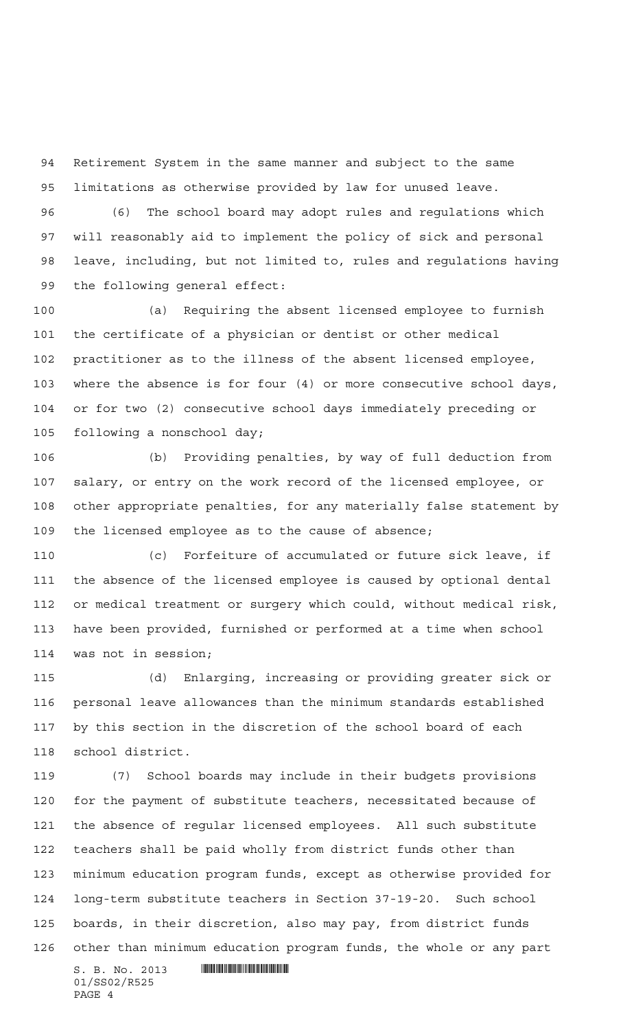Retirement System in the same manner and subject to the same limitations as otherwise provided by law for unused leave.

 (6) The school board may adopt rules and regulations which will reasonably aid to implement the policy of sick and personal leave, including, but not limited to, rules and regulations having the following general effect:

 (a) Requiring the absent licensed employee to furnish the certificate of a physician or dentist or other medical practitioner as to the illness of the absent licensed employee, where the absence is for four (4) or more consecutive school days, or for two (2) consecutive school days immediately preceding or following a nonschool day;

 (b) Providing penalties, by way of full deduction from salary, or entry on the work record of the licensed employee, or other appropriate penalties, for any materially false statement by the licensed employee as to the cause of absence;

 (c) Forfeiture of accumulated or future sick leave, if the absence of the licensed employee is caused by optional dental or medical treatment or surgery which could, without medical risk, have been provided, furnished or performed at a time when school was not in session;

 (d) Enlarging, increasing or providing greater sick or personal leave allowances than the minimum standards established by this section in the discretion of the school board of each school district.

 (7) School boards may include in their budgets provisions for the payment of substitute teachers, necessitated because of the absence of regular licensed employees. All such substitute teachers shall be paid wholly from district funds other than minimum education program funds, except as otherwise provided for long-term substitute teachers in Section 37-19-20. Such school boards, in their discretion, also may pay, from district funds other than minimum education program funds, the whole or any part

 $S. B. No. 2013$  . Soc. 2013 01/SS02/R525 PAGE 4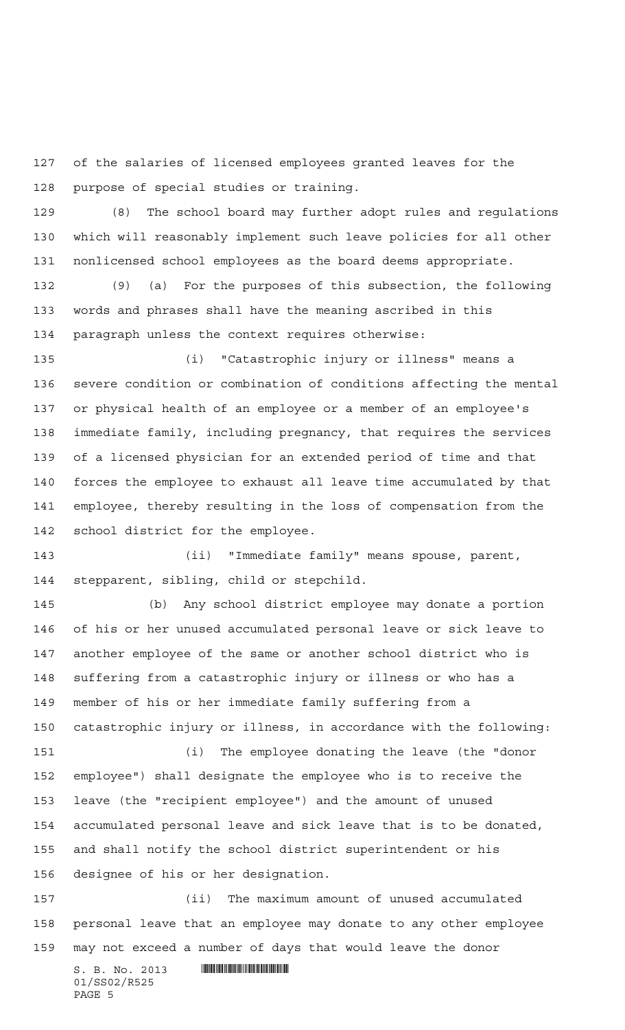of the salaries of licensed employees granted leaves for the purpose of special studies or training.

 (8) The school board may further adopt rules and regulations which will reasonably implement such leave policies for all other nonlicensed school employees as the board deems appropriate.

 (9) (a) For the purposes of this subsection, the following words and phrases shall have the meaning ascribed in this paragraph unless the context requires otherwise:

 (i) "Catastrophic injury or illness" means a severe condition or combination of conditions affecting the mental or physical health of an employee or a member of an employee's immediate family, including pregnancy, that requires the services of a licensed physician for an extended period of time and that forces the employee to exhaust all leave time accumulated by that employee, thereby resulting in the loss of compensation from the school district for the employee.

 (ii) "Immediate family" means spouse, parent, stepparent, sibling, child or stepchild.

 (b) Any school district employee may donate a portion of his or her unused accumulated personal leave or sick leave to another employee of the same or another school district who is suffering from a catastrophic injury or illness or who has a member of his or her immediate family suffering from a catastrophic injury or illness, in accordance with the following:

 employee") shall designate the employee who is to receive the leave (the "recipient employee") and the amount of unused accumulated personal leave and sick leave that is to be donated, and shall notify the school district superintendent or his designee of his or her designation.

(i) The employee donating the leave (the "donor

 (ii) The maximum amount of unused accumulated personal leave that an employee may donate to any other employee may not exceed a number of days that would leave the donor

 $S. B. No. 2013$  . Suppose the set of  $S. B. N \circ A. 2013$ 01/SS02/R525 PAGE 5